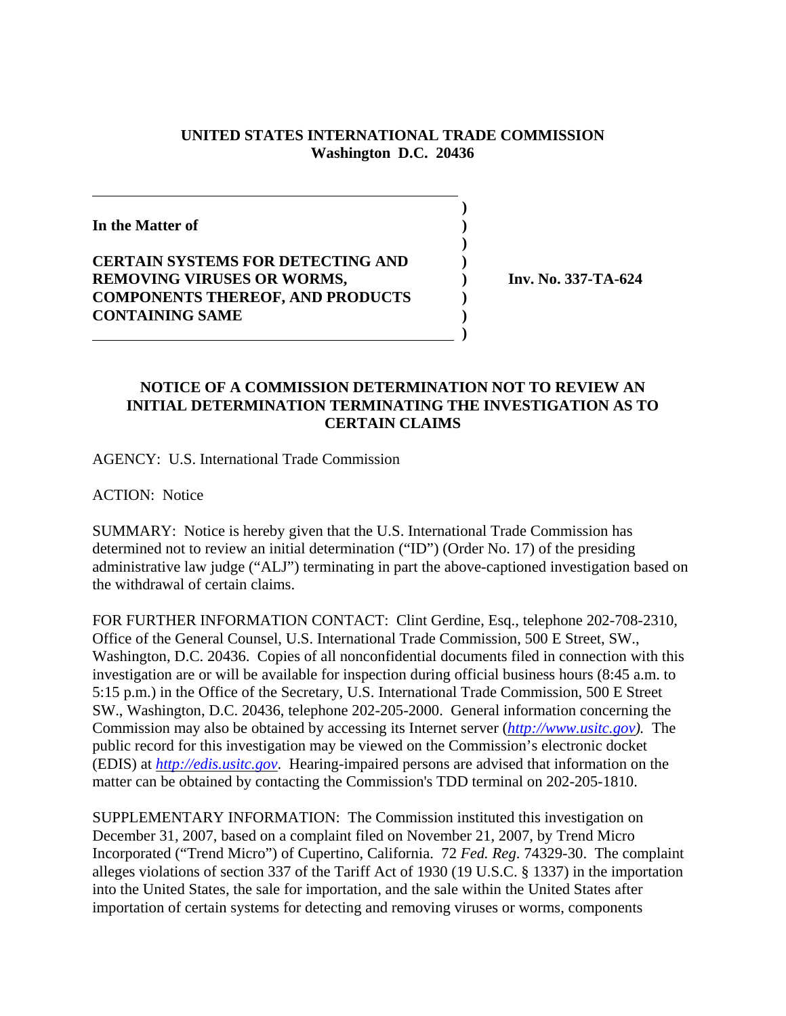## **UNITED STATES INTERNATIONAL TRADE COMMISSION Washington D.C. 20436**

**)**

**In the Matter of ) ) CERTAIN SYSTEMS FOR DETECTING AND ) REMOVING VIRUSES OR WORMS,**  $\qquad \qquad$  **) Inv. No. 337-TA-624 COMPONENTS THEREOF, AND PRODUCTS ) CONTAINING SAME )**

 **)**

## **NOTICE OF A COMMISSION DETERMINATION NOT TO REVIEW AN INITIAL DETERMINATION TERMINATING THE INVESTIGATION AS TO CERTAIN CLAIMS**

AGENCY: U.S. International Trade Commission

ACTION: Notice

SUMMARY: Notice is hereby given that the U.S. International Trade Commission has determined not to review an initial determination ("ID") (Order No. 17) of the presiding administrative law judge ("ALJ") terminating in part the above-captioned investigation based on the withdrawal of certain claims.

FOR FURTHER INFORMATION CONTACT: Clint Gerdine, Esq., telephone 202-708-2310, Office of the General Counsel, U.S. International Trade Commission, 500 E Street, SW., Washington, D.C. 20436. Copies of all nonconfidential documents filed in connection with this investigation are or will be available for inspection during official business hours (8:45 a.m. to 5:15 p.m.) in the Office of the Secretary, U.S. International Trade Commission, 500 E Street SW., Washington, D.C. 20436, telephone 202-205-2000. General information concerning the Commission may also be obtained by accessing its Internet server (*http://www.usitc.gov).* The public record for this investigation may be viewed on the Commission's electronic docket (EDIS) at *http://edis.usitc.gov*. Hearing-impaired persons are advised that information on the matter can be obtained by contacting the Commission's TDD terminal on 202-205-1810.

SUPPLEMENTARY INFORMATION: The Commission instituted this investigation on December 31, 2007, based on a complaint filed on November 21, 2007, by Trend Micro Incorporated ("Trend Micro") of Cupertino, California. 72 *Fed. Reg*. 74329-30. The complaint alleges violations of section 337 of the Tariff Act of 1930 (19 U.S.C. § 1337) in the importation into the United States, the sale for importation, and the sale within the United States after importation of certain systems for detecting and removing viruses or worms, components